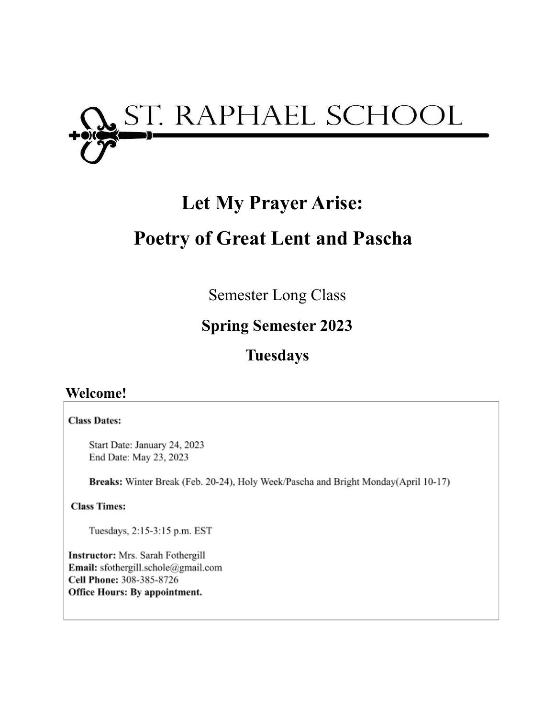

# **Let My Prayer Arise: Poetry of Great Lent and Pascha**

Semester Long Class

## **Spring Semester 2023**

## **Tuesdays**

### **Welcome!**

#### **Class Dates:**

Start Date: January 24, 2023 End Date: May 23, 2023

Breaks: Winter Break (Feb. 20-24), Holy Week/Pascha and Bright Monday(April 10-17)

**Class Times:** 

Tuesdays, 2:15-3:15 p.m. EST

Instructor: Mrs. Sarah Fothergill Email: sfothergill.schole@gmail.com Cell Phone: 308-385-8726 Office Hours: By appointment.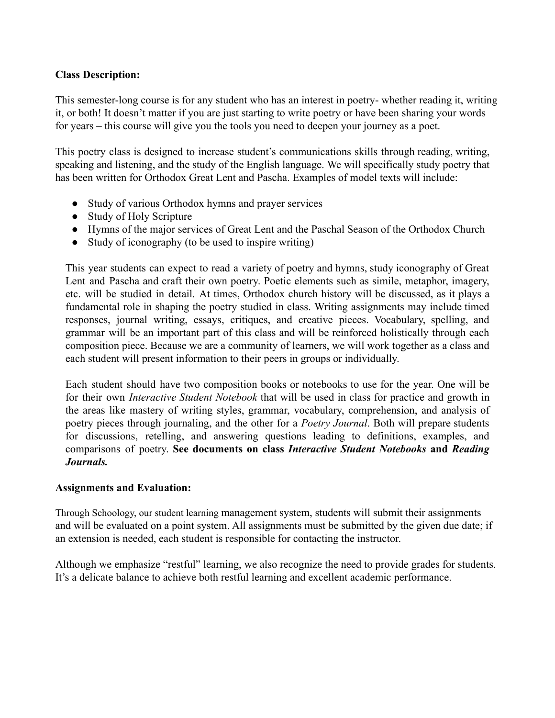#### **Class Description:**

This semester-long course is for any student who has an interest in poetry- whether reading it, writing it, or both! It doesn't matter if you are just starting to write poetry or have been sharing your words for years – this course will give you the tools you need to deepen your journey as a poet.

This poetry class is designed to increase student's communications skills through reading, writing, speaking and listening, and the study of the English language. We will specifically study poetry that has been written for Orthodox Great Lent and Pascha. Examples of model texts will include:

- Study of various Orthodox hymns and prayer services
- Study of Holy Scripture
- Hymns of the major services of Great Lent and the Paschal Season of the Orthodox Church
- Study of iconography (to be used to inspire writing)

This year students can expect to read a variety of poetry and hymns, study iconography of Great Lent and Pascha and craft their own poetry. Poetic elements such as simile, metaphor, imagery, etc. will be studied in detail. At times, Orthodox church history will be discussed, as it plays a fundamental role in shaping the poetry studied in class. Writing assignments may include timed responses, journal writing, essays, critiques, and creative pieces. Vocabulary, spelling, and grammar will be an important part of this class and will be reinforced holistically through each composition piece. Because we are a community of learners, we will work together as a class and each student will present information to their peers in groups or individually.

Each student should have two composition books or notebooks to use for the year. One will be for their own *Interactive Student Notebook* that will be used in class for practice and growth in the areas like mastery of writing styles, grammar, vocabulary, comprehension, and analysis of poetry pieces through journaling, and the other for a *Poetry Journal*. Both will prepare students for discussions, retelling, and answering questions leading to definitions, examples, and comparisons of poetry. **See documents on class** *Interactive Student Notebooks* **and** *Reading Journals.*

#### **Assignments and Evaluation:**

Through Schoology, our student learning management system, students will submit their assignments and will be evaluated on a point system. All assignments must be submitted by the given due date; if an extension is needed, each student is responsible for contacting the instructor.

Although we emphasize "restful" learning, we also recognize the need to provide grades for students. It's a delicate balance to achieve both restful learning and excellent academic performance.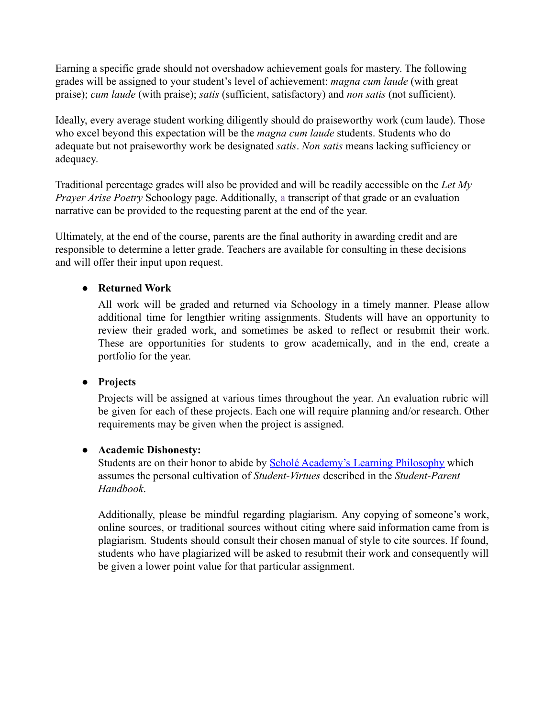Earning a specific grade should not overshadow achievement goals for mastery. The following grades will be assigned to your student's level of achievement: *magna cum laude* (with great praise); *cum laude* (with praise); *satis* (sufficient, satisfactory) and *non satis* (not sufficient).

Ideally, every average student working diligently should do praiseworthy work (cum laude). Those who excel beyond this expectation will be the *magna cum laude* students. Students who do adequate but not praiseworthy work be designated *satis*. *Non satis* means lacking sufficiency or adequacy.

Traditional percentage grades will also be provided and will be readily accessible on the *Let My Prayer Arise Poetry* Schoology page. Additionally, a transcript of that grade or an evaluation narrative can be provided to the requesting parent at the end of the year.

Ultimately, at the end of the course, parents are the final authority in awarding credit and are responsible to determine a letter grade. Teachers are available for consulting in these decisions and will offer their input upon request.

#### **● Returned Work**

All work will be graded and returned via Schoology in a timely manner. Please allow additional time for lengthier writing assignments. Students will have an opportunity to review their graded work, and sometimes be asked to reflect or resubmit their work. These are opportunities for students to grow academically, and in the end, create a portfolio for the year.

#### **● Projects**

Projects will be assigned at various times throughout the year. An evaluation rubric will be given for each of these projects. Each one will require planning and/or research. Other requirements may be given when the project is assigned.

#### **● Academic Dishonesty:**

Students are on their honor to abide by **Scholé Academy's [Learning Philosophy](http://www.scholeacademy.com/student-parent-handbook/)** which assumes the personal cultivation of *Student-Virtues* described in the *Student-Parent Handbook*.

Additionally, please be mindful regarding plagiarism. Any copying of someone's work, online sources, or traditional sources without citing where said information came from is plagiarism. Students should consult their chosen manual of style to cite sources. If found, students who have plagiarized will be asked to resubmit their work and consequently will be given a lower point value for that particular assignment.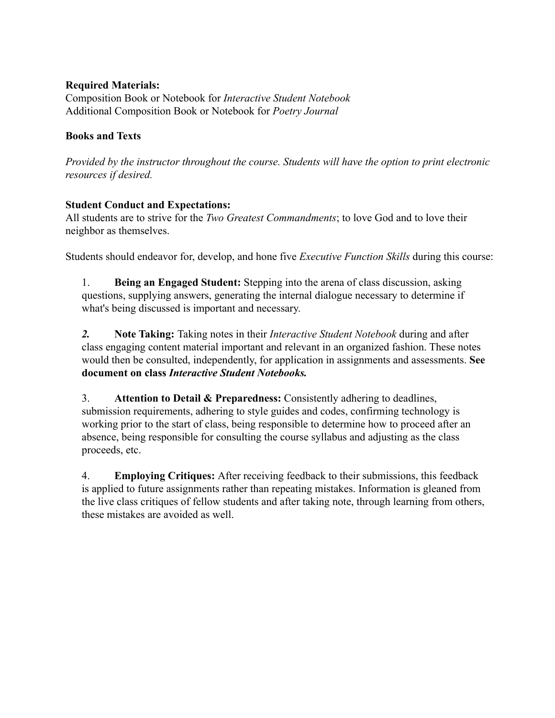#### **Required Materials:**

Composition Book or Notebook for *Interactive Student Notebook* Additional Composition Book or Notebook for *Poetry Journal*

#### **Books and Texts**

*Provided by the instructor throughout the course. Students will have the option to print electronic resources if desired.*

#### **Student Conduct and Expectations:**

All students are to strive for the *Two Greatest Commandments*; to love God and to love their neighbor as themselves.

Students should endeavor for, develop, and hone five *Executive Function Skills* during this course:

1. **Being an Engaged Student:** Stepping into the arena of class discussion, asking questions, supplying answers, generating the internal dialogue necessary to determine if what's being discussed is important and necessary.

*2.* **Note Taking:** Taking notes in their *Interactive Student Notebook* during and after class engaging content material important and relevant in an organized fashion. These notes would then be consulted, independently, for application in assignments and assessments. **See document on class** *Interactive Student Notebooks.*

3. **Attention to Detail & Preparedness:** Consistently adhering to deadlines, submission requirements, adhering to style guides and codes, confirming technology is working prior to the start of class, being responsible to determine how to proceed after an absence, being responsible for consulting the course syllabus and adjusting as the class proceeds, etc.

4. **Employing Critiques:** After receiving feedback to their submissions, this feedback is applied to future assignments rather than repeating mistakes. Information is gleaned from the live class critiques of fellow students and after taking note, through learning from others, these mistakes are avoided as well.